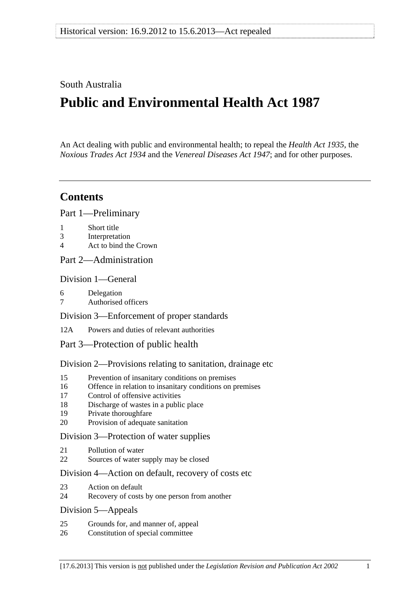## <span id="page-0-0"></span>South Australia

# **Public and Environmental Health Act 1987**

An Act dealing with public and environmental health; to repeal the *[Health Act 1935](http://www.legislation.sa.gov.au/index.aspx?action=legref&type=act&legtitle=Health%20Act%201935)*, the *[Noxious Trades Act 1934](http://www.legislation.sa.gov.au/index.aspx?action=legref&type=act&legtitle=Noxious%20Trades%20Act%201934)* and the *[Venereal Diseases Act 1947](http://www.legislation.sa.gov.au/index.aspx?action=legref&type=act&legtitle=Venereal%20Diseases%20Act%201947)*; and for other purposes.

## **Contents**

[Part 1—Preliminary](#page-1-0)

- [1 Short title](#page-1-0)
- [3 Interpretation](#page-1-0)
- [4 Act to bind the Crown](#page-4-0)
- [Part 2—Administration](#page-4-0)

### [Division 1—General](#page-4-0)

- [6 Delegation](#page-4-0)
- [7 Authorised officers](#page-4-0)
- [Division 3—Enforcement of proper standards](#page-5-0)
- [12A Powers and duties of relevant authorities](#page-5-0)
- [Part 3—Protection of public health](#page-6-0)

### [Division 2—Provisions relating to sanitation, drainage etc](#page-6-0)

- [15 Prevention of insanitary conditions on premises](#page-6-0)
- [16 Offence in relation to insanitary conditions on premises](#page-7-0)
- [17 Control of offensive activities](#page-7-0)
- [18 Discharge of wastes in a public place](#page-7-0)
- [19 Private thoroughfare](#page-8-0)
- [20 Provision of adequate sanitation](#page-8-0)

### [Division 3—Protection of water supplies](#page-8-0)

- [21 Pollution of water](#page-8-0)
- [22 Sources of water supply may be closed](#page-9-0)

### [Division 4—Action on default, recovery of costs etc](#page-9-0)

- [23 Action on default](#page-9-0)
- [24 Recovery of costs by one person from another](#page-10-0)

### [Division 5—Appeals](#page-10-0)

- [25 Grounds for, and manner of, appeal](#page-10-0)
- [26 Constitution of special committee](#page-10-0)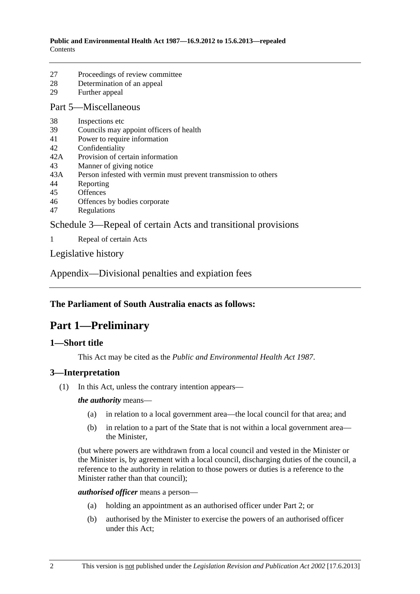- <span id="page-1-0"></span>[27 Proceedings of review committee](#page-11-0)
- [28 Determination of an appeal](#page-11-0)
- [29 Further appeal](#page-11-0)

### [Part 5—Miscellaneous](#page-11-0)

- [38 Inspections etc](#page-11-0)
- [39 Councils may appoint officers of health](#page-13-0)
- [41 Power to require information](#page-13-0)
- [42 Confidentiality](#page-13-0)
- [42A Provision of certain information](#page-13-0)
- [43 Manner of giving notice](#page-14-0)
- [43A Person infested with vermin must prevent transmission to others](#page-14-0)
- [44 Reporting](#page-14-0)
- [45 Offences](#page-15-0)
- [46 Offences by bodies corporate](#page-15-0)
- [47 Regulations](#page-16-0)

[Schedule 3—Repeal of certain Acts and transitional provisions](#page-18-0) 

[1 Repeal of certain Acts](#page-18-0) 

[Legislative history](#page-20-0) 

[Appendix—Divisional penalties and expiation fees](#page-26-0)

## **The Parliament of South Australia enacts as follows:**

## **Part 1—Preliminary**

## **1—Short title**

This Act may be cited as the *Public and Environmental Health Act 1987*.

## **3—Interpretation**

(1) In this Act, unless the contrary intention appears—

*the authority* means—

- (a) in relation to a local government area—the local council for that area; and
- (b) in relation to a part of the State that is not within a local government area the Minister,

(but where powers are withdrawn from a local council and vested in the Minister or the Minister is, by agreement with a local council, discharging duties of the council, a reference to the authority in relation to those powers or duties is a reference to the Minister rather than that council);

*authorised officer* means a person—

- (a) holding an appointment as an authorised officer under [Part 2](#page-4-0); or
- (b) authorised by the Minister to exercise the powers of an authorised officer under this Act;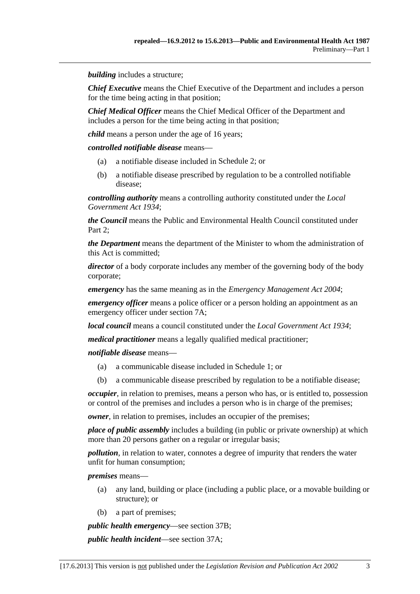*building* includes a structure;

*Chief Executive* means the Chief Executive of the Department and includes a person for the time being acting in that position;

*Chief Medical Officer* means the Chief Medical Officer of the Department and includes a person for the time being acting in that position;

*child* means a person under the age of 16 years;

*controlled notifiable disease* means—

- (a) a notifiable disease included in [Schedule 2;](#page-0-0) or
- (b) a notifiable disease prescribed by regulation to be a controlled notifiable disease;

*controlling authority* means a controlling authority constituted under the *[Local](http://www.legislation.sa.gov.au/index.aspx?action=legref&type=act&legtitle=Local%20Government%20Act%201934)  [Government Act 1934](http://www.legislation.sa.gov.au/index.aspx?action=legref&type=act&legtitle=Local%20Government%20Act%201934)*;

*the Council* means the Public and Environmental Health Council constituted under [Part 2;](#page-4-0)

*the Department* means the department of the Minister to whom the administration of this Act is committed;

*director* of a body corporate includes any member of the governing body of the body corporate;

*emergency* has the same meaning as in the *[Emergency Management Act 2004](http://www.legislation.sa.gov.au/index.aspx?action=legref&type=act&legtitle=Emergency%20Management%20Act%202004)*;

*emergency officer* means a police officer or a person holding an appointment as an emergency officer under [section 7A](#page-0-0);

*local council* means a council constituted under the *[Local Government Act 1934](http://www.legislation.sa.gov.au/index.aspx?action=legref&type=act&legtitle=Local%20Government%20Act%201934)*;

*medical practitioner* means a legally qualified medical practitioner;

*notifiable disease* means—

- (a) a communicable disease included in [Schedule 1](#page-0-0); or
- (b) a communicable disease prescribed by regulation to be a notifiable disease;

*occupier*, in relation to premises, means a person who has, or is entitled to, possession or control of the premises and includes a person who is in charge of the premises;

*owner*, in relation to premises, includes an occupier of the premises;

*place of public assembly* includes a building (in public or private ownership) at which more than 20 persons gather on a regular or irregular basis;

*pollution*, in relation to water, connotes a degree of impurity that renders the water unfit for human consumption;

*premises* means—

- (a) any land, building or place (including a public place, or a movable building or structure); or
- (b) a part of premises;

*public health emergency*—see [section 37B;](#page-0-0)

*public health incident*—see [section 37A;](#page-0-0)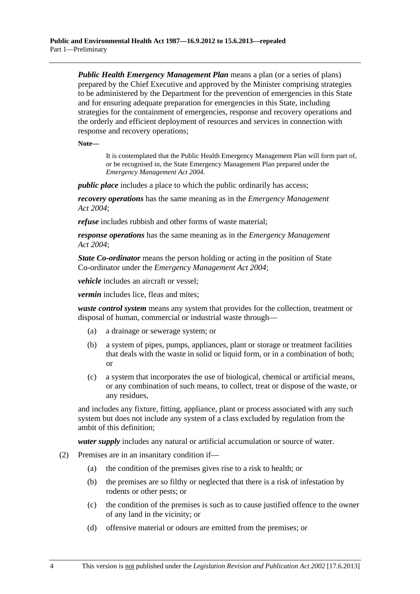*Public Health Emergency Management Plan* means a plan (or a series of plans) prepared by the Chief Executive and approved by the Minister comprising strategies to be administered by the Department for the prevention of emergencies in this State and for ensuring adequate preparation for emergencies in this State, including strategies for the containment of emergencies, response and recovery operations and the orderly and efficient deployment of resources and services in connection with response and recovery operations;

**Note—** 

It is contemplated that the Public Health Emergency Management Plan will form part of, or be recognised in, the State Emergency Management Plan prepared under the *[Emergency Management Act 2004](http://www.legislation.sa.gov.au/index.aspx?action=legref&type=act&legtitle=Emergency%20Management%20Act%202004)*.

*public place* includes a place to which the public ordinarily has access;

*recovery operations* has the same meaning as in the *[Emergency Management](http://www.legislation.sa.gov.au/index.aspx?action=legref&type=act&legtitle=Emergency%20Management%20Act%202004)  [Act 2004](http://www.legislation.sa.gov.au/index.aspx?action=legref&type=act&legtitle=Emergency%20Management%20Act%202004)*;

*refuse* includes rubbish and other forms of waste material;

*response operations* has the same meaning as in the *[Emergency Management](http://www.legislation.sa.gov.au/index.aspx?action=legref&type=act&legtitle=Emergency%20Management%20Act%202004)  [Act 2004](http://www.legislation.sa.gov.au/index.aspx?action=legref&type=act&legtitle=Emergency%20Management%20Act%202004)*;

*State Co-ordinator* means the person holding or acting in the position of State Co-ordinator under the *[Emergency Management Act 2004](http://www.legislation.sa.gov.au/index.aspx?action=legref&type=act&legtitle=Emergency%20Management%20Act%202004)*;

*vehicle* includes an aircraft or vessel:

*vermin* includes lice, fleas and mites;

*waste control system* means any system that provides for the collection, treatment or disposal of human, commercial or industrial waste through—

- (a) a drainage or sewerage system; or
- (b) a system of pipes, pumps, appliances, plant or storage or treatment facilities that deals with the waste in solid or liquid form, or in a combination of both; or
- (c) a system that incorporates the use of biological, chemical or artificial means, or any combination of such means, to collect, treat or dispose of the waste, or any residues,

and includes any fixture, fitting, appliance, plant or process associated with any such system but does not include any system of a class excluded by regulation from the ambit of this definition;

*water supply* includes any natural or artificial accumulation or source of water.

- (2) Premises are in an insanitary condition if—
	- (a) the condition of the premises gives rise to a risk to health; or
	- (b) the premises are so filthy or neglected that there is a risk of infestation by rodents or other pests; or
	- (c) the condition of the premises is such as to cause justified offence to the owner of any land in the vicinity; or
	- (d) offensive material or odours are emitted from the premises; or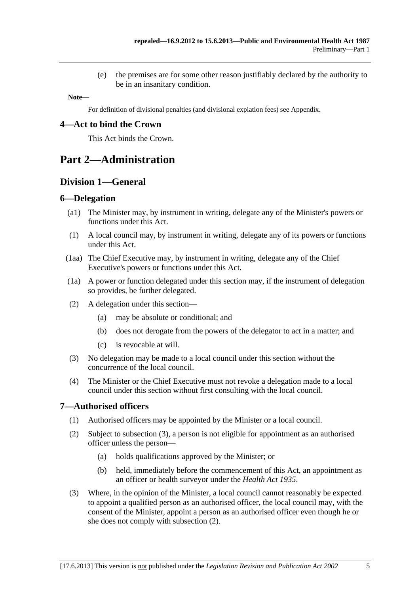(e) the premises are for some other reason justifiably declared by the authority to be in an insanitary condition.

<span id="page-4-0"></span>**Note—** 

For definition of divisional penalties (and divisional expiation fees) see Appendix.

## **4—Act to bind the Crown**

This Act binds the Crown.

## **Part 2—Administration**

## **Division 1—General**

### **6—Delegation**

- (a1) The Minister may, by instrument in writing, delegate any of the Minister's powers or functions under this Act.
- (1) A local council may, by instrument in writing, delegate any of its powers or functions under this Act.
- (1aa) The Chief Executive may, by instrument in writing, delegate any of the Chief Executive's powers or functions under this Act.
- (1a) A power or function delegated under this section may, if the instrument of delegation so provides, be further delegated.
- (2) A delegation under this section—
	- (a) may be absolute or conditional; and
	- (b) does not derogate from the powers of the delegator to act in a matter; and
	- (c) is revocable at will.
- (3) No delegation may be made to a local council under this section without the concurrence of the local council.
- (4) The Minister or the Chief Executive must not revoke a delegation made to a local council under this section without first consulting with the local council.

### **7—Authorised officers**

- (1) Authorised officers may be appointed by the Minister or a local council.
- (2) Subject to [subsection \(3\),](#page-4-0) a person is not eligible for appointment as an authorised officer unless the person—
	- (a) holds qualifications approved by the Minister; or
	- (b) held, immediately before the commencement of this Act, an appointment as an officer or health surveyor under the *[Health Act 1935](http://www.legislation.sa.gov.au/index.aspx?action=legref&type=act&legtitle=Health%20Act%201935)*.
- (3) Where, in the opinion of the Minister, a local council cannot reasonably be expected to appoint a qualified person as an authorised officer, the local council may, with the consent of the Minister, appoint a person as an authorised officer even though he or she does not comply with [subsection \(2\)](#page-4-0).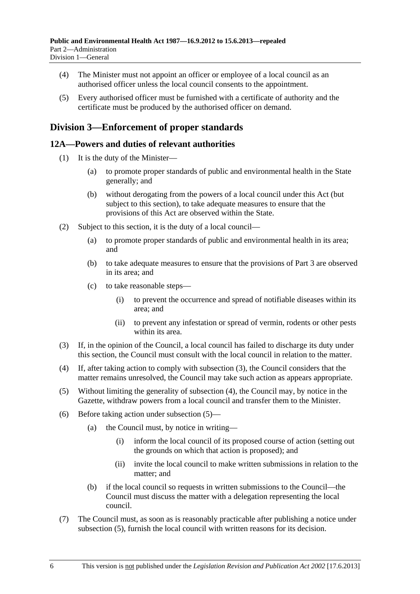- <span id="page-5-0"></span> (4) The Minister must not appoint an officer or employee of a local council as an authorised officer unless the local council consents to the appointment.
- (5) Every authorised officer must be furnished with a certificate of authority and the certificate must be produced by the authorised officer on demand.

## **Division 3—Enforcement of proper standards**

## **12A—Powers and duties of relevant authorities**

- (1) It is the duty of the Minister—
	- (a) to promote proper standards of public and environmental health in the State generally; and
	- (b) without derogating from the powers of a local council under this Act (but subject to this section), to take adequate measures to ensure that the provisions of this Act are observed within the State.
- (2) Subject to this section, it is the duty of a local council—
	- (a) to promote proper standards of public and environmental health in its area; and
	- (b) to take adequate measures to ensure that the provisions of [Part 3](#page-6-0) are observed in its area; and
	- (c) to take reasonable steps—
		- (i) to prevent the occurrence and spread of notifiable diseases within its area; and
		- (ii) to prevent any infestation or spread of vermin, rodents or other pests within its area.
- (3) If, in the opinion of the Council, a local council has failed to discharge its duty under this section, the Council must consult with the local council in relation to the matter.
- (4) If, after taking action to comply with [subsection \(3\),](#page-5-0) the Council considers that the matter remains unresolved, the Council may take such action as appears appropriate.
- (5) Without limiting the generality of [subsection \(4\),](#page-5-0) the Council may, by notice in the Gazette, withdraw powers from a local council and transfer them to the Minister.
- (6) Before taking action under [subsection \(5\)](#page-5-0)
	- (a) the Council must, by notice in writing—
		- (i) inform the local council of its proposed course of action (setting out the grounds on which that action is proposed); and
		- (ii) invite the local council to make written submissions in relation to the matter; and
	- (b) if the local council so requests in written submissions to the Council—the Council must discuss the matter with a delegation representing the local council.
- (7) The Council must, as soon as is reasonably practicable after publishing a notice under [subsection \(5\),](#page-5-0) furnish the local council with written reasons for its decision.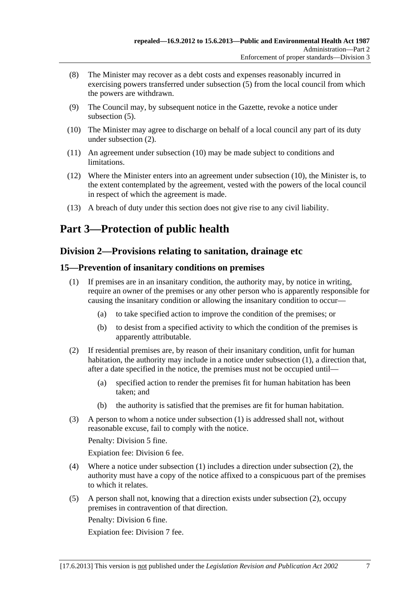- <span id="page-6-0"></span> (8) The Minister may recover as a debt costs and expenses reasonably incurred in exercising powers transferred under subsection  $(5)$  from the local council from which the powers are withdrawn.
- (9) The Council may, by subsequent notice in the Gazette, revoke a notice under [subsection \(5\).](#page-5-0)
- (10) The Minister may agree to discharge on behalf of a local council any part of its duty under [subsection \(2\).](#page-5-0)
- (11) An agreement under [subsection \(10\)](#page-6-0) may be made subject to conditions and limitations.
- (12) Where the Minister enters into an agreement under [subsection \(10\)](#page-6-0), the Minister is, to the extent contemplated by the agreement, vested with the powers of the local council in respect of which the agreement is made.
- (13) A breach of duty under this section does not give rise to any civil liability.

# **Part 3—Protection of public health**

## **Division 2—Provisions relating to sanitation, drainage etc**

## **15—Prevention of insanitary conditions on premises**

- (1) If premises are in an insanitary condition, the authority may, by notice in writing, require an owner of the premises or any other person who is apparently responsible for causing the insanitary condition or allowing the insanitary condition to occur—
	- (a) to take specified action to improve the condition of the premises; or
	- (b) to desist from a specified activity to which the condition of the premises is apparently attributable.
- (2) If residential premises are, by reason of their insanitary condition, unfit for human habitation, the authority may include in a notice under [subsection \(1\),](#page-6-0) a direction that, after a date specified in the notice, the premises must not be occupied until—
	- (a) specified action to render the premises fit for human habitation has been taken; and
	- (b) the authority is satisfied that the premises are fit for human habitation.
- (3) A person to whom a notice under [subsection \(1\)](#page-6-0) is addressed shall not, without reasonable excuse, fail to comply with the notice.

Penalty: Division 5 fine.

Expiation fee: Division 6 fee.

- (4) Where a notice under [subsection \(1\)](#page-6-0) includes a direction under [subsection \(2\),](#page-6-0) the authority must have a copy of the notice affixed to a conspicuous part of the premises to which it relates.
- (5) A person shall not, knowing that a direction exists under [subsection \(2\),](#page-6-0) occupy premises in contravention of that direction.

Penalty: Division 6 fine.

Expiation fee: Division 7 fee.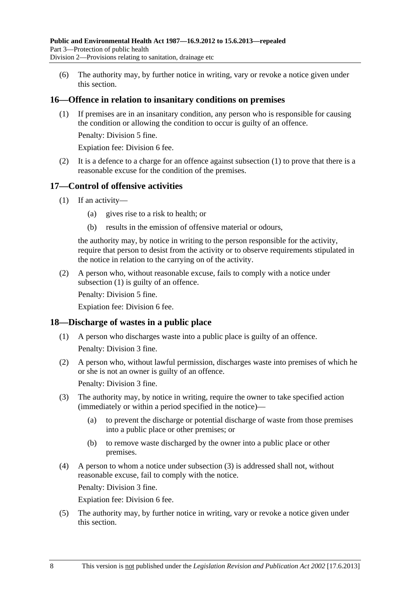<span id="page-7-0"></span> (6) The authority may, by further notice in writing, vary or revoke a notice given under this section.

## **16—Offence in relation to insanitary conditions on premises**

 (1) If premises are in an insanitary condition, any person who is responsible for causing the condition or allowing the condition to occur is guilty of an offence.

Penalty: Division 5 fine.

Expiation fee: Division 6 fee.

 (2) It is a defence to a charge for an offence against [subsection \(1\)](#page-7-0) to prove that there is a reasonable excuse for the condition of the premises.

### **17—Control of offensive activities**

- (1) If an activity—
	- (a) gives rise to a risk to health; or
	- (b) results in the emission of offensive material or odours,

the authority may, by notice in writing to the person responsible for the activity, require that person to desist from the activity or to observe requirements stipulated in the notice in relation to the carrying on of the activity.

 (2) A person who, without reasonable excuse, fails to comply with a notice under [subsection \(1\)](#page-7-0) is guilty of an offence.

Penalty: Division 5 fine.

Expiation fee: Division 6 fee.

### **18—Discharge of wastes in a public place**

- (1) A person who discharges waste into a public place is guilty of an offence. Penalty: Division 3 fine.
- (2) A person who, without lawful permission, discharges waste into premises of which he or she is not an owner is guilty of an offence.

Penalty: Division 3 fine.

- (3) The authority may, by notice in writing, require the owner to take specified action (immediately or within a period specified in the notice)—
	- (a) to prevent the discharge or potential discharge of waste from those premises into a public place or other premises; or
	- (b) to remove waste discharged by the owner into a public place or other premises.
- (4) A person to whom a notice under [subsection \(3\)](#page-7-0) is addressed shall not, without reasonable excuse, fail to comply with the notice.

Penalty: Division 3 fine.

Expiation fee: Division 6 fee.

 (5) The authority may, by further notice in writing, vary or revoke a notice given under this section.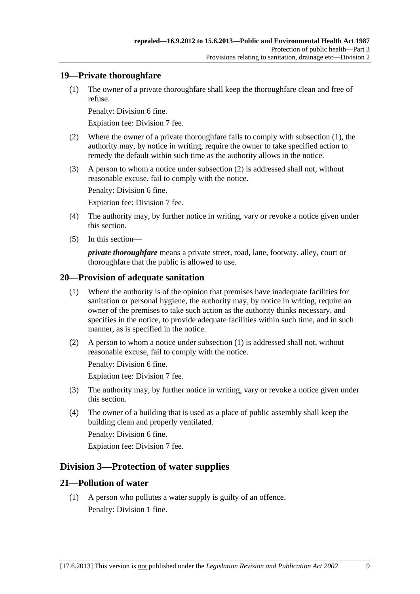## <span id="page-8-0"></span>**19—Private thoroughfare**

 (1) The owner of a private thoroughfare shall keep the thoroughfare clean and free of refuse.

Penalty: Division 6 fine.

Expiation fee: Division 7 fee.

- (2) Where the owner of a private thoroughfare fails to comply with [subsection \(1\)](#page-8-0), the authority may, by notice in writing, require the owner to take specified action to remedy the default within such time as the authority allows in the notice.
- (3) A person to whom a notice under [subsection \(2\)](#page-8-0) is addressed shall not, without reasonable excuse, fail to comply with the notice.

Penalty: Division 6 fine.

Expiation fee: Division 7 fee.

- (4) The authority may, by further notice in writing, vary or revoke a notice given under this section.
- (5) In this section—

*private thoroughfare* means a private street, road, lane, footway, alley, court or thoroughfare that the public is allowed to use.

## **20—Provision of adequate sanitation**

- (1) Where the authority is of the opinion that premises have inadequate facilities for sanitation or personal hygiene, the authority may, by notice in writing, require an owner of the premises to take such action as the authority thinks necessary, and specifies in the notice, to provide adequate facilities within such time, and in such manner, as is specified in the notice.
- (2) A person to whom a notice under [subsection \(1\)](#page-8-0) is addressed shall not, without reasonable excuse, fail to comply with the notice.

Penalty: Division 6 fine.

Expiation fee: Division 7 fee.

- (3) The authority may, by further notice in writing, vary or revoke a notice given under this section.
- (4) The owner of a building that is used as a place of public assembly shall keep the building clean and properly ventilated.

Penalty: Division 6 fine.

Expiation fee: Division 7 fee.

## **Division 3—Protection of water supplies**

## **21—Pollution of water**

 (1) A person who pollutes a water supply is guilty of an offence. Penalty: Division 1 fine.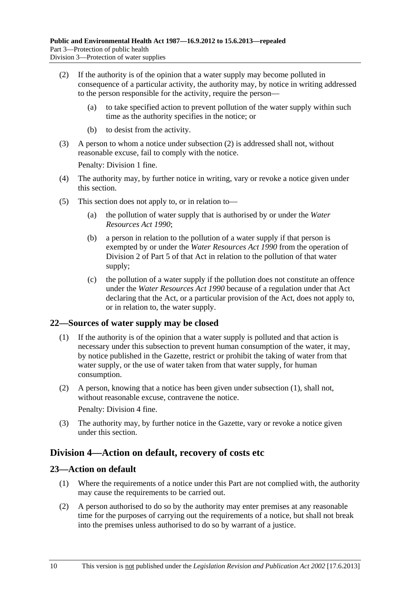- <span id="page-9-0"></span> (2) If the authority is of the opinion that a water supply may become polluted in consequence of a particular activity, the authority may, by notice in writing addressed to the person responsible for the activity, require the person—
	- (a) to take specified action to prevent pollution of the water supply within such time as the authority specifies in the notice; or
	- (b) to desist from the activity.
- (3) A person to whom a notice under [subsection \(2\)](#page-9-0) is addressed shall not, without reasonable excuse, fail to comply with the notice.

Penalty: Division 1 fine.

- (4) The authority may, by further notice in writing, vary or revoke a notice given under this section.
- (5) This section does not apply to, or in relation to—
	- (a) the pollution of water supply that is authorised by or under the *[Water](http://www.legislation.sa.gov.au/index.aspx?action=legref&type=act&legtitle=Water%20Resources%20Act%201990)  [Resources Act 1990](http://www.legislation.sa.gov.au/index.aspx?action=legref&type=act&legtitle=Water%20Resources%20Act%201990)*;
	- (b) a person in relation to the pollution of a water supply if that person is exempted by or under the *[Water Resources Act 1990](http://www.legislation.sa.gov.au/index.aspx?action=legref&type=act&legtitle=Water%20Resources%20Act%201990)* from the operation of Division 2 of Part 5 of that Act in relation to the pollution of that water supply;
	- (c) the pollution of a water supply if the pollution does not constitute an offence under the *[Water Resources Act 1990](http://www.legislation.sa.gov.au/index.aspx?action=legref&type=act&legtitle=Water%20Resources%20Act%201990)* because of a regulation under that Act declaring that the Act, or a particular provision of the Act, does not apply to, or in relation to, the water supply.

## **22—Sources of water supply may be closed**

- (1) If the authority is of the opinion that a water supply is polluted and that action is necessary under this subsection to prevent human consumption of the water, it may, by notice published in the Gazette, restrict or prohibit the taking of water from that water supply, or the use of water taken from that water supply, for human consumption.
- (2) A person, knowing that a notice has been given under [subsection \(1\),](#page-9-0) shall not, without reasonable excuse, contravene the notice.

Penalty: Division 4 fine.

 (3) The authority may, by further notice in the Gazette, vary or revoke a notice given under this section.

## **Division 4—Action on default, recovery of costs etc**

## **23—Action on default**

- (1) Where the requirements of a notice under this Part are not complied with, the authority may cause the requirements to be carried out.
- (2) A person authorised to do so by the authority may enter premises at any reasonable time for the purposes of carrying out the requirements of a notice, but shall not break into the premises unless authorised to do so by warrant of a justice.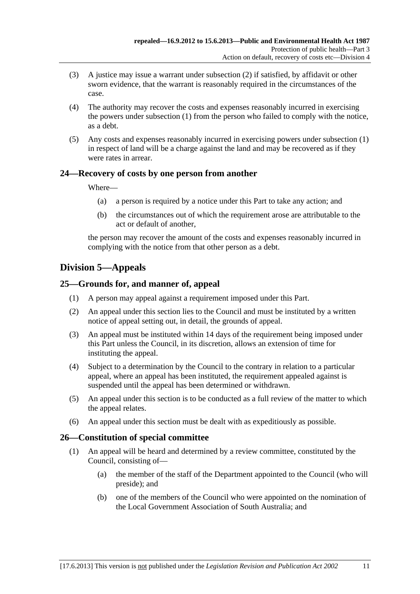- <span id="page-10-0"></span> (3) A justice may issue a warrant under [subsection \(2\)](#page-9-0) if satisfied, by affidavit or other sworn evidence, that the warrant is reasonably required in the circumstances of the case.
- (4) The authority may recover the costs and expenses reasonably incurred in exercising the powers under [subsection \(1\)](#page-9-0) from the person who failed to comply with the notice, as a debt.
- (5) Any costs and expenses reasonably incurred in exercising powers under [subsection \(1\)](#page-9-0)  in respect of land will be a charge against the land and may be recovered as if they were rates in arrear.

## **24—Recovery of costs by one person from another**

Where—

- (a) a person is required by a notice under this Part to take any action; and
- (b) the circumstances out of which the requirement arose are attributable to the act or default of another,

the person may recover the amount of the costs and expenses reasonably incurred in complying with the notice from that other person as a debt.

## **Division 5—Appeals**

## **25—Grounds for, and manner of, appeal**

- (1) A person may appeal against a requirement imposed under this Part.
- (2) An appeal under this section lies to the Council and must be instituted by a written notice of appeal setting out, in detail, the grounds of appeal.
- (3) An appeal must be instituted within 14 days of the requirement being imposed under this Part unless the Council, in its discretion, allows an extension of time for instituting the appeal.
- (4) Subject to a determination by the Council to the contrary in relation to a particular appeal, where an appeal has been instituted, the requirement appealed against is suspended until the appeal has been determined or withdrawn.
- (5) An appeal under this section is to be conducted as a full review of the matter to which the appeal relates.
- (6) An appeal under this section must be dealt with as expeditiously as possible.

## **26—Constitution of special committee**

- (1) An appeal will be heard and determined by a review committee, constituted by the Council, consisting of—
	- (a) the member of the staff of the Department appointed to the Council (who will preside); and
	- (b) one of the members of the Council who were appointed on the nomination of the Local Government Association of South Australia; and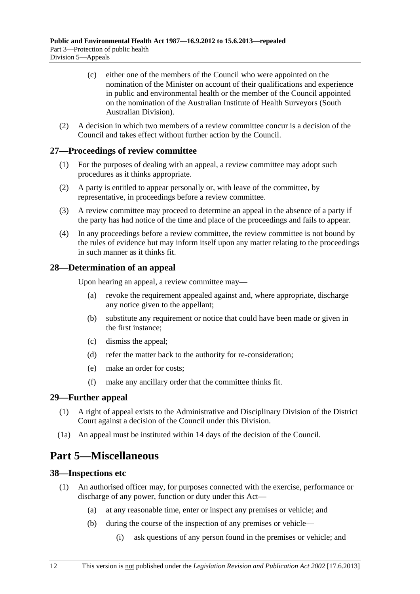- <span id="page-11-0"></span> (c) either one of the members of the Council who were appointed on the nomination of the Minister on account of their qualifications and experience in public and environmental health or the member of the Council appointed on the nomination of the Australian Institute of Health Surveyors (South Australian Division).
- (2) A decision in which two members of a review committee concur is a decision of the Council and takes effect without further action by the Council.

### **27—Proceedings of review committee**

- (1) For the purposes of dealing with an appeal, a review committee may adopt such procedures as it thinks appropriate.
- (2) A party is entitled to appear personally or, with leave of the committee, by representative, in proceedings before a review committee.
- (3) A review committee may proceed to determine an appeal in the absence of a party if the party has had notice of the time and place of the proceedings and fails to appear.
- (4) In any proceedings before a review committee, the review committee is not bound by the rules of evidence but may inform itself upon any matter relating to the proceedings in such manner as it thinks fit.

## **28—Determination of an appeal**

Upon hearing an appeal, a review committee may—

- (a) revoke the requirement appealed against and, where appropriate, discharge any notice given to the appellant;
- (b) substitute any requirement or notice that could have been made or given in the first instance;
- (c) dismiss the appeal;
- (d) refer the matter back to the authority for re-consideration;
- (e) make an order for costs;
- (f) make any ancillary order that the committee thinks fit.

### **29—Further appeal**

- (1) A right of appeal exists to the Administrative and Disciplinary Division of the District Court against a decision of the Council under this Division.
- (1a) An appeal must be instituted within 14 days of the decision of the Council.

## **Part 5—Miscellaneous**

### **38—Inspections etc**

- (1) An authorised officer may, for purposes connected with the exercise, performance or discharge of any power, function or duty under this Act—
	- (a) at any reasonable time, enter or inspect any premises or vehicle; and
	- (b) during the course of the inspection of any premises or vehicle—
		- (i) ask questions of any person found in the premises or vehicle; and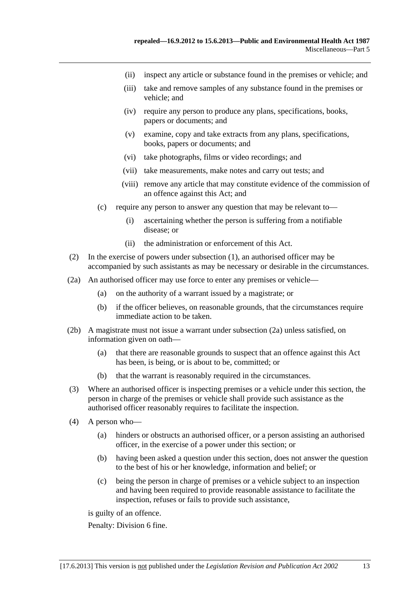- <span id="page-12-0"></span>(ii) inspect any article or substance found in the premises or vehicle; and
- (iii) take and remove samples of any substance found in the premises or vehicle; and
- (iv) require any person to produce any plans, specifications, books, papers or documents; and
- (v) examine, copy and take extracts from any plans, specifications, books, papers or documents; and
- (vi) take photographs, films or video recordings; and
- (vii) take measurements, make notes and carry out tests; and
- (viii) remove any article that may constitute evidence of the commission of an offence against this Act; and
- (c) require any person to answer any question that may be relevant to—
	- (i) ascertaining whether the person is suffering from a notifiable disease; or
	- (ii) the administration or enforcement of this Act.
- (2) In the exercise of powers under [subsection \(1\)](#page-11-0), an authorised officer may be accompanied by such assistants as may be necessary or desirable in the circumstances.
- (2a) An authorised officer may use force to enter any premises or vehicle—
	- (a) on the authority of a warrant issued by a magistrate; or
	- (b) if the officer believes, on reasonable grounds, that the circumstances require immediate action to be taken.
- (2b) A magistrate must not issue a warrant under [subsection \(2a\)](#page-12-0) unless satisfied, on information given on oath—
	- (a) that there are reasonable grounds to suspect that an offence against this Act has been, is being, or is about to be, committed; or
	- (b) that the warrant is reasonably required in the circumstances.
- (3) Where an authorised officer is inspecting premises or a vehicle under this section, the person in charge of the premises or vehicle shall provide such assistance as the authorised officer reasonably requires to facilitate the inspection.
- (4) A person who—
	- (a) hinders or obstructs an authorised officer, or a person assisting an authorised officer, in the exercise of a power under this section; or
	- (b) having been asked a question under this section, does not answer the question to the best of his or her knowledge, information and belief; or
	- (c) being the person in charge of premises or a vehicle subject to an inspection and having been required to provide reasonable assistance to facilitate the inspection, refuses or fails to provide such assistance,

is guilty of an offence.

Penalty: Division 6 fine.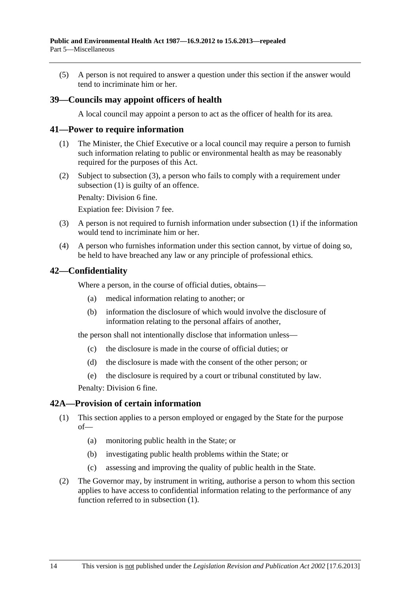<span id="page-13-0"></span> (5) A person is not required to answer a question under this section if the answer would tend to incriminate him or her.

## **39—Councils may appoint officers of health**

A local council may appoint a person to act as the officer of health for its area.

### **41—Power to require information**

- (1) The Minister, the Chief Executive or a local council may require a person to furnish such information relating to public or environmental health as may be reasonably required for the purposes of this Act.
- (2) Subject to [subsection \(3\),](#page-13-0) a person who fails to comply with a requirement under [subsection \(1\)](#page-13-0) is guilty of an offence.

Penalty: Division 6 fine.

Expiation fee: Division 7 fee.

- (3) A person is not required to furnish information under [subsection \(1\)](#page-13-0) if the information would tend to incriminate him or her.
- (4) A person who furnishes information under this section cannot, by virtue of doing so, be held to have breached any law or any principle of professional ethics.

### **42—Confidentiality**

Where a person, in the course of official duties, obtains—

- (a) medical information relating to another; or
- (b) information the disclosure of which would involve the disclosure of information relating to the personal affairs of another,

the person shall not intentionally disclose that information unless—

- (c) the disclosure is made in the course of official duties; or
- (d) the disclosure is made with the consent of the other person; or
- (e) the disclosure is required by a court or tribunal constituted by law.

Penalty: Division 6 fine.

### **42A—Provision of certain information**

- (1) This section applies to a person employed or engaged by the State for the purpose of—
	- (a) monitoring public health in the State; or
	- (b) investigating public health problems within the State; or
	- (c) assessing and improving the quality of public health in the State.
- (2) The Governor may, by instrument in writing, authorise a person to whom this section applies to have access to confidential information relating to the performance of any function referred to in [subsection \(1\).](#page-13-0)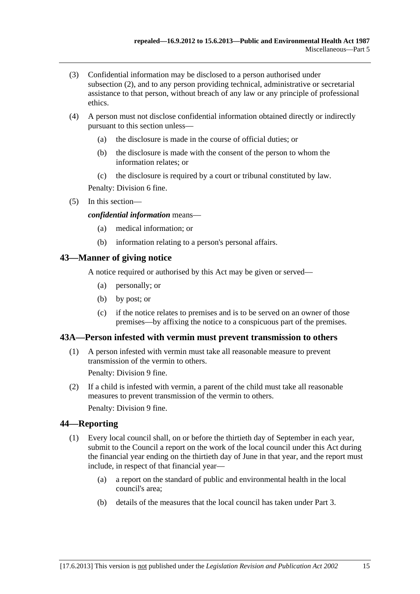- <span id="page-14-0"></span> (3) Confidential information may be disclosed to a person authorised under [subsection \(2\),](#page-13-0) and to any person providing technical, administrative or secretarial assistance to that person, without breach of any law or any principle of professional ethics.
- (4) A person must not disclose confidential information obtained directly or indirectly pursuant to this section unless—
	- (a) the disclosure is made in the course of official duties; or
	- (b) the disclosure is made with the consent of the person to whom the information relates; or
	- (c) the disclosure is required by a court or tribunal constituted by law.

Penalty: Division 6 fine.

(5) In this section—

#### *confidential information* means—

- (a) medical information; or
- (b) information relating to a person's personal affairs.

### **43—Manner of giving notice**

A notice required or authorised by this Act may be given or served—

- (a) personally; or
- (b) by post; or
- (c) if the notice relates to premises and is to be served on an owner of those premises—by affixing the notice to a conspicuous part of the premises.

### **43A—Person infested with vermin must prevent transmission to others**

 (1) A person infested with vermin must take all reasonable measure to prevent transmission of the vermin to others.

Penalty: Division 9 fine.

 (2) If a child is infested with vermin, a parent of the child must take all reasonable measures to prevent transmission of the vermin to others. Penalty: Division 9 fine.

## **44—Reporting**

- (1) Every local council shall, on or before the thirtieth day of September in each year, submit to the Council a report on the work of the local council under this Act during the financial year ending on the thirtieth day of June in that year, and the report must include, in respect of that financial year—
	- (a) a report on the standard of public and environmental health in the local council's area;
	- (b) details of the measures that the local council has taken under [Part 3.](#page-6-0)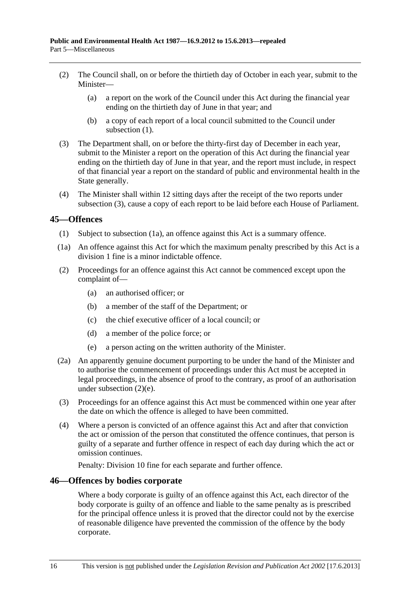- <span id="page-15-0"></span> (2) The Council shall, on or before the thirtieth day of October in each year, submit to the Minister—
	- (a) a report on the work of the Council under this Act during the financial year ending on the thirtieth day of June in that year; and
	- (b) a copy of each report of a local council submitted to the Council under subsection  $(1)$ .
- (3) The Department shall, on or before the thirty-first day of December in each year, submit to the Minister a report on the operation of this Act during the financial year ending on the thirtieth day of June in that year, and the report must include, in respect of that financial year a report on the standard of public and environmental health in the State generally.
- (4) The Minister shall within 12 sitting days after the receipt of the two reports under [subsection \(3\)](#page-15-0), cause a copy of each report to be laid before each House of Parliament.

## **45—Offences**

- (1) Subject to [subsection \(1a\),](#page-15-0) an offence against this Act is a summary offence.
- (1a) An offence against this Act for which the maximum penalty prescribed by this Act is a division 1 fine is a minor indictable offence.
- (2) Proceedings for an offence against this Act cannot be commenced except upon the complaint of—
	- (a) an authorised officer; or
	- (b) a member of the staff of the Department; or
	- (c) the chief executive officer of a local council; or
	- (d) a member of the police force; or
	- (e) a person acting on the written authority of the Minister.
- (2a) An apparently genuine document purporting to be under the hand of the Minister and to authorise the commencement of proceedings under this Act must be accepted in legal proceedings, in the absence of proof to the contrary, as proof of an authorisation under [subsection \(2\)\(e\)](#page-15-0).
- (3) Proceedings for an offence against this Act must be commenced within one year after the date on which the offence is alleged to have been committed.
- (4) Where a person is convicted of an offence against this Act and after that conviction the act or omission of the person that constituted the offence continues, that person is guilty of a separate and further offence in respect of each day during which the act or omission continues.

Penalty: Division 10 fine for each separate and further offence.

### **46—Offences by bodies corporate**

Where a body corporate is guilty of an offence against this Act, each director of the body corporate is guilty of an offence and liable to the same penalty as is prescribed for the principal offence unless it is proved that the director could not by the exercise of reasonable diligence have prevented the commission of the offence by the body corporate.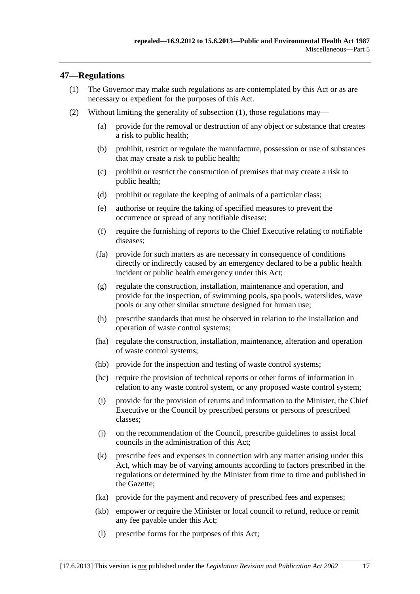## <span id="page-16-0"></span>**47—Regulations**

- (1) The Governor may make such regulations as are contemplated by this Act or as are necessary or expedient for the purposes of this Act.
- (2) Without limiting the generality of [subsection \(1\),](#page-16-0) those regulations may—
	- (a) provide for the removal or destruction of any object or substance that creates a risk to public health;
	- (b) prohibit, restrict or regulate the manufacture, possession or use of substances that may create a risk to public health;
	- (c) prohibit or restrict the construction of premises that may create a risk to public health;
	- (d) prohibit or regulate the keeping of animals of a particular class;
	- (e) authorise or require the taking of specified measures to prevent the occurrence or spread of any notifiable disease;
	- (f) require the furnishing of reports to the Chief Executive relating to notifiable diseases;
	- (fa) provide for such matters as are necessary in consequence of conditions directly or indirectly caused by an emergency declared to be a public health incident or public health emergency under this Act;
	- (g) regulate the construction, installation, maintenance and operation, and provide for the inspection, of swimming pools, spa pools, waterslides, wave pools or any other similar structure designed for human use;
	- (h) prescribe standards that must be observed in relation to the installation and operation of waste control systems;
	- (ha) regulate the construction, installation, maintenance, alteration and operation of waste control systems;
	- (hb) provide for the inspection and testing of waste control systems;
	- (hc) require the provision of technical reports or other forms of information in relation to any waste control system, or any proposed waste control system;
	- (i) provide for the provision of returns and information to the Minister, the Chief Executive or the Council by prescribed persons or persons of prescribed classes;
	- (j) on the recommendation of the Council, prescribe guidelines to assist local councils in the administration of this Act;
	- (k) prescribe fees and expenses in connection with any matter arising under this Act, which may be of varying amounts according to factors prescribed in the regulations or determined by the Minister from time to time and published in the Gazette;
	- (ka) provide for the payment and recovery of prescribed fees and expenses;
	- (kb) empower or require the Minister or local council to refund, reduce or remit any fee payable under this Act;
	- (l) prescribe forms for the purposes of this Act;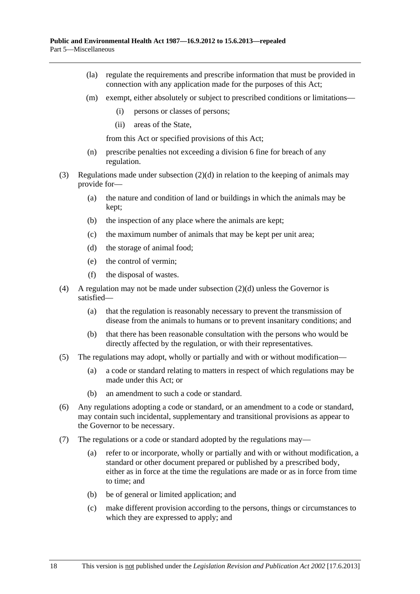- (la) regulate the requirements and prescribe information that must be provided in connection with any application made for the purposes of this Act;
- (m) exempt, either absolutely or subject to prescribed conditions or limitations—
	- (i) persons or classes of persons;
	- (ii) areas of the State,

from this Act or specified provisions of this Act;

- (n) prescribe penalties not exceeding a division 6 fine for breach of any regulation.
- (3) Regulations made under [subsection \(2\)\(d\)](#page-16-0) in relation to the keeping of animals may provide for—
	- (a) the nature and condition of land or buildings in which the animals may be kept;
	- (b) the inspection of any place where the animals are kept;
	- (c) the maximum number of animals that may be kept per unit area;
	- (d) the storage of animal food;
	- (e) the control of vermin;
	- (f) the disposal of wastes.
- (4) A regulation may not be made under [subsection \(2\)\(d\)](#page-16-0) unless the Governor is satisfied—
	- (a) that the regulation is reasonably necessary to prevent the transmission of disease from the animals to humans or to prevent insanitary conditions; and
	- (b) that there has been reasonable consultation with the persons who would be directly affected by the regulation, or with their representatives.
- (5) The regulations may adopt, wholly or partially and with or without modification—
	- (a) a code or standard relating to matters in respect of which regulations may be made under this Act; or
	- (b) an amendment to such a code or standard.
- (6) Any regulations adopting a code or standard, or an amendment to a code or standard, may contain such incidental, supplementary and transitional provisions as appear to the Governor to be necessary.
- (7) The regulations or a code or standard adopted by the regulations may—
	- (a) refer to or incorporate, wholly or partially and with or without modification, a standard or other document prepared or published by a prescribed body, either as in force at the time the regulations are made or as in force from time to time; and
	- (b) be of general or limited application; and
	- (c) make different provision according to the persons, things or circumstances to which they are expressed to apply; and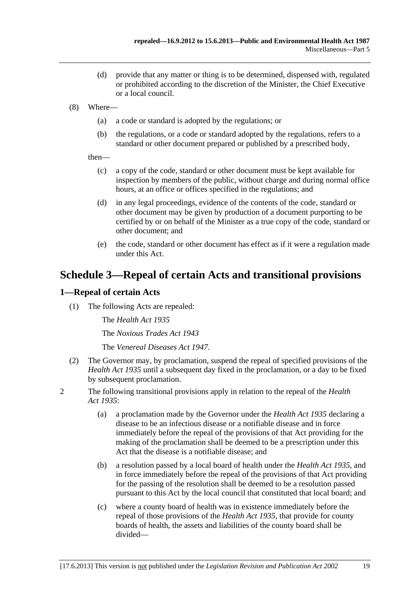- <span id="page-18-0"></span> (d) provide that any matter or thing is to be determined, dispensed with, regulated or prohibited according to the discretion of the Minister, the Chief Executive or a local council.
- (8) Where—
	- (a) a code or standard is adopted by the regulations; or
	- (b) the regulations, or a code or standard adopted by the regulations, refers to a standard or other document prepared or published by a prescribed body,

then—

- (c) a copy of the code, standard or other document must be kept available for inspection by members of the public, without charge and during normal office hours, at an office or offices specified in the regulations; and
- (d) in any legal proceedings, evidence of the contents of the code, standard or other document may be given by production of a document purporting to be certified by or on behalf of the Minister as a true copy of the code, standard or other document; and
- (e) the code, standard or other document has effect as if it were a regulation made under this Act.

## **Schedule 3—Repeal of certain Acts and transitional provisions**

## **1—Repeal of certain Acts**

(1) The following Acts are repealed:

The *[Health Act 1935](http://www.legislation.sa.gov.au/index.aspx?action=legref&type=act&legtitle=Health%20Act%201935)*

The *[Noxious Trades Act 1943](http://www.legislation.sa.gov.au/index.aspx?action=legref&type=act&legtitle=Noxious%20Trades%20Act%201943)*

The *[Venereal Diseases Act 1947](http://www.legislation.sa.gov.au/index.aspx?action=legref&type=act&legtitle=Venereal%20Diseases%20Act%201947)*.

- (2) The Governor may, by proclamation, suspend the repeal of specified provisions of the *[Health Act 1935](http://www.legislation.sa.gov.au/index.aspx?action=legref&type=act&legtitle=Health%20Act%201935)* until a subsequent day fixed in the proclamation, or a day to be fixed by subsequent proclamation.
- 2 The following transitional provisions apply in relation to the repeal of the *[Health](http://www.legislation.sa.gov.au/index.aspx?action=legref&type=act&legtitle=Health%20Act%201935)  [Act 1935](http://www.legislation.sa.gov.au/index.aspx?action=legref&type=act&legtitle=Health%20Act%201935)*:
	- (a) a proclamation made by the Governor under the *[Health Act 1935](http://www.legislation.sa.gov.au/index.aspx?action=legref&type=act&legtitle=Health%20Act%201935)* declaring a disease to be an infectious disease or a notifiable disease and in force immediately before the repeal of the provisions of that Act providing for the making of the proclamation shall be deemed to be a prescription under this Act that the disease is a notifiable disease; and
	- (b) a resolution passed by a local board of health under the *[Health Act 1935](http://www.legislation.sa.gov.au/index.aspx?action=legref&type=act&legtitle=Health%20Act%201935)*, and in force immediately before the repeal of the provisions of that Act providing for the passing of the resolution shall be deemed to be a resolution passed pursuant to this Act by the local council that constituted that local board; and
	- (c) where a county board of health was in existence immediately before the repeal of those provisions of the *[Health Act 1935](http://www.legislation.sa.gov.au/index.aspx?action=legref&type=act&legtitle=Health%20Act%201935)*, that provide for county boards of health, the assets and liabilities of the county board shall be divided—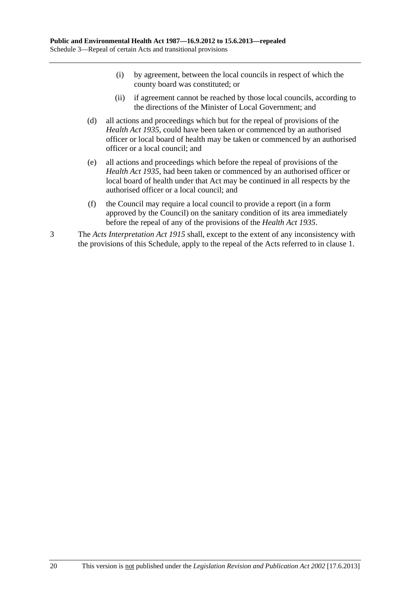- (i) by agreement, between the local councils in respect of which the county board was constituted; or
- (ii) if agreement cannot be reached by those local councils, according to the directions of the Minister of Local Government; and
- (d) all actions and proceedings which but for the repeal of provisions of the *[Health Act 1935](http://www.legislation.sa.gov.au/index.aspx?action=legref&type=act&legtitle=Health%20Act%201935)*, could have been taken or commenced by an authorised officer or local board of health may be taken or commenced by an authorised officer or a local council; and
- (e) all actions and proceedings which before the repeal of provisions of the *[Health Act 1935](http://www.legislation.sa.gov.au/index.aspx?action=legref&type=act&legtitle=Health%20Act%201935)*, had been taken or commenced by an authorised officer or local board of health under that Act may be continued in all respects by the authorised officer or a local council; and
- (f) the Council may require a local council to provide a report (in a form approved by the Council) on the sanitary condition of its area immediately before the repeal of any of the provisions of the *[Health Act 1935](http://www.legislation.sa.gov.au/index.aspx?action=legref&type=act&legtitle=Health%20Act%201935)*.
- 3 The *[Acts Interpretation Act 1915](http://www.legislation.sa.gov.au/index.aspx?action=legref&type=act&legtitle=Acts%20Interpretation%20Act%201915)* shall, except to the extent of any inconsistency with the provisions of this Schedule, apply to the repeal of the Acts referred to in [clause 1.](#page-18-0)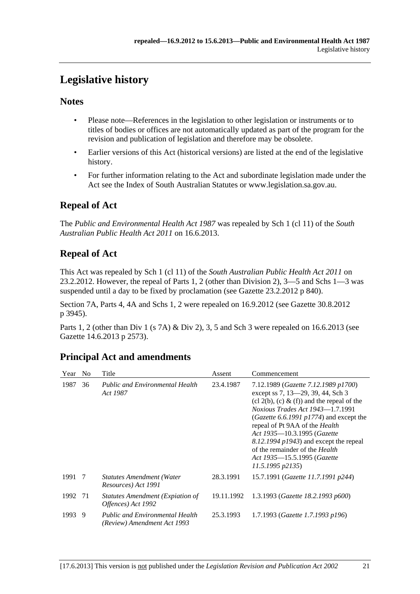# <span id="page-20-0"></span>**Legislative history**

## **Notes**

- Please note—References in the legislation to other legislation or instruments or to titles of bodies or offices are not automatically updated as part of the program for the revision and publication of legislation and therefore may be obsolete.
- Earlier versions of this Act (historical versions) are listed at the end of the legislative history.
- For further information relating to the Act and subordinate legislation made under the Act see the Index of South Australian Statutes or www.legislation.sa.gov.au.

## **Repeal of Act**

The *Public and Environmental Health Act 1987* was repealed by Sch 1 (cl 11) of the *South Australian Public Health Act 2011* on 16.6.2013.

## **Repeal of Act**

This Act was repealed by Sch 1 (cl 11) of the *South Australian Public Health Act 2011* on 23.2.2012. However, the repeal of Parts 1, 2 (other than Division 2), 3—5 and Schs 1—3 was suspended until a day to be fixed by proclamation (see Gazette 23.2.2012 p 840).

Section 7A, Parts 4, 4A and Schs 1, 2 were repealed on 16.9.2012 (see Gazette 30.8.2012 p 3945).

Parts 1, 2 (other than Div 1 (s 7A) & Div 2), 3, 5 and Sch 3 were repealed on 16.6.2013 (see Gazette 14.6.2013 p 2573).

## **Principal Act and amendments**

| Year   | - No | Title                                                                 | Assent     | Commencement                                                                                                                                                                                                                                                                                                                                                                                                             |
|--------|------|-----------------------------------------------------------------------|------------|--------------------------------------------------------------------------------------------------------------------------------------------------------------------------------------------------------------------------------------------------------------------------------------------------------------------------------------------------------------------------------------------------------------------------|
| 1987   | 36   | <b>Public and Environmental Health</b><br>Act 1987                    | 23.4.1987  | 7.12.1989 (Gazette 7.12.1989 p1700)<br>except ss 7, 13-29, 39, 44, Sch 3<br>$(cl 2(b), (c) \& (f))$ and the repeal of the<br><i>Noxious Trades Act 1943</i> —1.7.1991<br>(Gazette 6.6.1991 $p1774$ ) and except the<br>repeal of Pt 9AA of the Health<br>Act 1935-10.3.1995 (Gazette<br>$8.12.1994 \, p1943$ ) and except the repeal<br>of the remainder of the Health<br>Act 1935–15.5.1995 (Gazette<br>11.5.1995 p2135 |
| 1991 7 |      | <b>Statutes Amendment (Water</b><br>Resources) Act 1991               | 28.3.1991  | 15.7.1991 (Gazette 11.7.1991 p244)                                                                                                                                                                                                                                                                                                                                                                                       |
| 1992   | -71  | Statutes Amendment (Expiation of<br>Offences) Act 1992                | 19.11.1992 | 1.3.1993 (Gazette 18.2.1993 p600)                                                                                                                                                                                                                                                                                                                                                                                        |
| 1993   | 9    | <b>Public and Environmental Health</b><br>(Review) Amendment Act 1993 | 25.3.1993  | 1.7.1993 (Gazette 1.7.1993 p196)                                                                                                                                                                                                                                                                                                                                                                                         |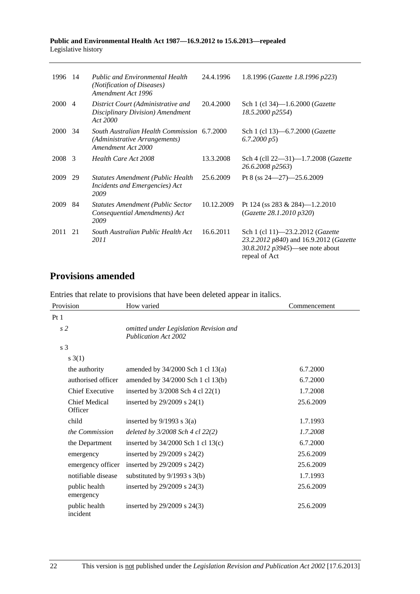#### **Public and Environmental Health Act 1987—16.9.2012 to 15.6.2013—repealed**  Legislative history

| 1996        | -14            | <b>Public and Environmental Health</b><br>(Notification of Diseases)<br>Amendment Act 1996         | 24.4.1996  | 1.8.1996 (Gazette 1.8.1996 p223)                                                                                                 |
|-------------|----------------|----------------------------------------------------------------------------------------------------|------------|----------------------------------------------------------------------------------------------------------------------------------|
| 2000        | $\overline{4}$ | District Court (Administrative and<br>Disciplinary Division) Amendment<br>Act 2000                 | 20.4.2000  | Sch 1 (cl 34)-1.6.2000 ( <i>Gazette</i><br>18.5.2000 p2554)                                                                      |
| <b>2000</b> | 34             | South Australian Health Commission 6.7.2000<br>(Administrative Arrangements)<br>Amendment Act 2000 |            | Sch 1 (cl 13)–6.7.2000 ( <i>Gazette</i><br>6.7.2000 p5                                                                           |
| 2008        | 3              | Health Care Act 2008                                                                               | 13.3.2008  | Sch 4 (cll 22-31)-1.7.2008 (Gazette<br>26.6.2008 p2563)                                                                          |
| 2009        | 29             | Statutes Amendment (Public Health<br>Incidents and Emergencies) Act<br>2009                        | 25.6.2009  | Pt 8 (ss $24 - 27$ ) $-25.6.2009$                                                                                                |
| 2009        | 84             | Statutes Amendment (Public Sector<br>Consequential Amendments) Act<br>2009                         | 10.12.2009 | Pt 124 (ss 283 & 284)-1.2.2010<br>(Gazette 28.1.2010 p320)                                                                       |
| 2011        | 21             | South Australian Public Health Act<br>2011                                                         | 16.6.2011  | Sch 1 (cl 11)-23.2.2012 (Gazette<br>23.2.2012 p840) and 16.9.2012 (Gazette<br>30.8.2012 $p3945$ —see note about<br>repeal of Act |

## **Provisions amended**

Entries that relate to provisions that have been deleted appear in italics.

| Provision                       | How varied                                                            | Commencement |  |
|---------------------------------|-----------------------------------------------------------------------|--------------|--|
| Pt 1                            |                                                                       |              |  |
| s <sub>2</sub>                  | omitted under Legislation Revision and<br><b>Publication Act 2002</b> |              |  |
| s 3                             |                                                                       |              |  |
| s(3(1))                         |                                                                       |              |  |
| the authority                   | amended by 34/2000 Sch 1 cl 13(a)                                     | 6.7.2000     |  |
| authorised officer              | amended by 34/2000 Sch 1 cl 13(b)                                     | 6.7.2000     |  |
| <b>Chief Executive</b>          | inserted by $3/2008$ Sch 4 cl 22(1)                                   | 1.7.2008     |  |
| <b>Chief Medical</b><br>Officer | inserted by $29/2009$ s $24(1)$                                       | 25.6.2009    |  |
| child                           | inserted by $9/1993$ s $3(a)$                                         | 1.7.1993     |  |
| the Commission                  | deleted by $3/2008$ Sch 4 cl 22(2)                                    | 1.7.2008     |  |
| the Department                  | inserted by $34/2000$ Sch 1 cl 13(c)                                  | 6.7.2000     |  |
| emergency                       | inserted by $29/2009$ s $24(2)$                                       | 25.6.2009    |  |
| emergency officer               | inserted by 29/2009 s 24(2)                                           | 25.6.2009    |  |
| notifiable disease              | substituted by $9/1993$ s $3(b)$                                      | 1.7.1993     |  |
| public health<br>emergency      | inserted by 29/2009 s 24(3)                                           | 25.6.2009    |  |
| public health<br>incident       | inserted by 29/2009 s 24(3)                                           | 25.6.2009    |  |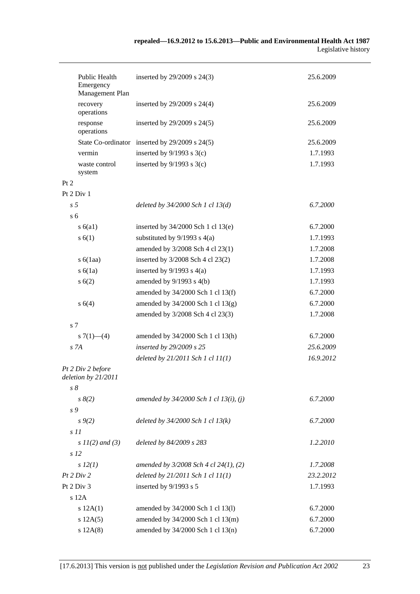|                 | Public Health<br>Emergency<br>Management Plan | inserted by 29/2009 s 24(3)                    | 25.6.2009 |
|-----------------|-----------------------------------------------|------------------------------------------------|-----------|
|                 | recovery<br>operations                        | inserted by 29/2009 s 24(4)                    | 25.6.2009 |
|                 | response<br>operations                        | inserted by 29/2009 s 24(5)                    | 25.6.2009 |
|                 |                                               | State Co-ordinator inserted by 29/2009 s 24(5) | 25.6.2009 |
|                 | vermin                                        | inserted by $9/1993$ s $3(c)$                  | 1.7.1993  |
|                 | waste control<br>system                       | inserted by $9/1993$ s $3(c)$                  | 1.7.1993  |
| Pt 2            |                                               |                                                |           |
|                 | Pt 2 Div 1                                    |                                                |           |
| s <sub>5</sub>  |                                               | deleted by $34/2000$ Sch 1 cl $13(d)$          | 6.7.2000  |
| s <sub>6</sub>  |                                               |                                                |           |
|                 | s(6a1)                                        | inserted by $34/2000$ Sch 1 cl 13(e)           | 6.7.2000  |
|                 | s(6(1))                                       | substituted by $9/1993$ s $4(a)$               | 1.7.1993  |
|                 |                                               | amended by 3/2008 Sch 4 cl 23(1)               | 1.7.2008  |
|                 | s $6(1aa)$                                    | inserted by 3/2008 Sch 4 cl 23(2)              | 1.7.2008  |
|                 | s(6(1a))                                      | inserted by $9/1993$ s $4(a)$                  | 1.7.1993  |
|                 | s(6(2))                                       | amended by $9/1993$ s $4(b)$                   | 1.7.1993  |
|                 |                                               | amended by 34/2000 Sch 1 cl 13(f)              | 6.7.2000  |
|                 | s 6(4)                                        | amended by 34/2000 Sch 1 cl 13(g)              | 6.7.2000  |
|                 |                                               | amended by 3/2008 Sch 4 cl 23(3)               | 1.7.2008  |
| s <sub>7</sub>  |                                               |                                                |           |
|                 | s $7(1)$ — $(4)$                              | amended by 34/2000 Sch 1 cl 13(h)              | 6.7.2000  |
| S <sub>7A</sub> |                                               | inserted by 29/2009 s 25                       | 25.6.2009 |
|                 |                                               | deleted by $21/2011$ Sch 1 cl $11(1)$          | 16.9.2012 |
|                 | Pt 2 Div 2 before<br>deletion by 21/2011      |                                                |           |
| $s\delta$       |                                               |                                                |           |
|                 | $s \, 8(2)$                                   | amended by $34/2000$ Sch 1 cl 13(i), (j)       | 6.7.2000  |
| s 9             |                                               |                                                |           |
|                 | $s \, 9(2)$                                   | deleted by $34/2000$ Sch 1 cl $13(k)$          | 6.7.2000  |
| s11             |                                               |                                                |           |
|                 | s $11(2)$ and (3)                             | deleted by 84/2009 s 283                       | 1.2.2010  |
| s <sub>12</sub> |                                               |                                                |           |
|                 | $s\,12(1)$                                    | amended by $3/2008$ Sch 4 cl 24(1), (2)        | 1.7.2008  |
|                 | Pt 2 Div 2                                    | deleted by $21/2011$ Sch 1 cl $11(1)$          | 23.2.2012 |
|                 | Pt 2 Div 3                                    | inserted by 9/1993 s 5                         | 1.7.1993  |
|                 | s 12A                                         |                                                |           |
|                 | s 12A(1)                                      | amended by 34/2000 Sch 1 cl 13(l)              | 6.7.2000  |
|                 | s 12A(5)                                      | amended by 34/2000 Sch 1 cl 13(m)              | 6.7.2000  |
|                 | s 12A(8)                                      | amended by 34/2000 Sch 1 cl 13(n)              | 6.7.2000  |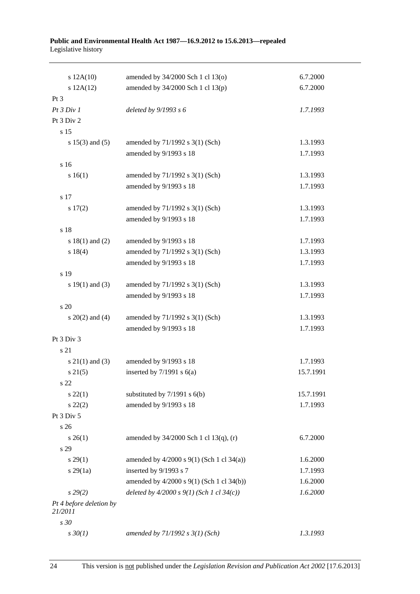#### **Public and Environmental Health Act 1987—16.9.2012 to 15.6.2013—repealed**  Legislative history

| s 12A(10)                          | amended by 34/2000 Sch 1 cl 13(o)           | 6.7.2000  |
|------------------------------------|---------------------------------------------|-----------|
| s 12A(12)                          | amended by $34/2000$ Sch 1 cl $13(p)$       | 6.7.2000  |
| $Pt\,3$                            |                                             |           |
| Pt 3 Div 1                         | deleted by $9/1993 s 6$                     | 1.7.1993  |
| Pt 3 Div 2                         |                                             |           |
| s 15                               |                                             |           |
| s $15(3)$ and $(5)$                | amended by 71/1992 s 3(1) (Sch)             | 1.3.1993  |
|                                    | amended by 9/1993 s 18                      | 1.7.1993  |
| s 16                               |                                             |           |
| s 16(1)                            | amended by 71/1992 s 3(1) (Sch)             | 1.3.1993  |
|                                    | amended by 9/1993 s 18                      | 1.7.1993  |
| s 17                               |                                             |           |
| s 17(2)                            | amended by 71/1992 s 3(1) (Sch)             | 1.3.1993  |
|                                    | amended by 9/1993 s 18                      | 1.7.1993  |
| s 18                               |                                             |           |
| s $18(1)$ and $(2)$                | amended by 9/1993 s 18                      | 1.7.1993  |
| s 18(4)                            | amended by 71/1992 s 3(1) (Sch)             | 1.3.1993  |
|                                    | amended by 9/1993 s 18                      | 1.7.1993  |
| s 19                               |                                             |           |
| s $19(1)$ and $(3)$                | amended by 71/1992 s 3(1) (Sch)             | 1.3.1993  |
|                                    | amended by 9/1993 s 18                      | 1.7.1993  |
| s 20                               |                                             |           |
| s $20(2)$ and $(4)$                | amended by 71/1992 s 3(1) (Sch)             | 1.3.1993  |
|                                    | amended by 9/1993 s 18                      | 1.7.1993  |
| Pt 3 Div 3                         |                                             |           |
| s 21                               |                                             |           |
| $s \ 21(1)$ and (3)                | amended by 9/1993 s 18                      | 1.7.1993  |
| $s \, 21(5)$                       | inserted by $7/1991$ s $6(a)$               | 15.7.1991 |
| s 22                               |                                             |           |
| $s\,22(1)$                         | substituted by $7/1991$ s $6(b)$            | 15.7.1991 |
| $s\ 22(2)$                         | amended by 9/1993 s 18                      | 1.7.1993  |
| Pt 3 Div 5                         |                                             |           |
| s <sub>26</sub>                    |                                             |           |
| $s \; 26(1)$                       | amended by 34/2000 Sch 1 cl 13(q), (r)      | 6.7.2000  |
| s 29                               |                                             |           |
| s 29(1)                            | amended by 4/2000 s 9(1) (Sch 1 cl 34(a))   | 1.6.2000  |
| $s\,29(1a)$                        | inserted by 9/1993 s 7                      | 1.7.1993  |
|                                    | amended by 4/2000 s 9(1) (Sch 1 cl 34(b))   | 1.6.2000  |
| s 29(2)                            | deleted by $4/2000 s 9(1)$ (Sch 1 cl 34(c)) | 1.6.2000  |
| Pt 4 before deletion by<br>21/2011 |                                             |           |
| s 30                               |                                             |           |
| $s \, 30(1)$                       | amended by $71/1992 s 3(1)$ (Sch)           | 1.3.1993  |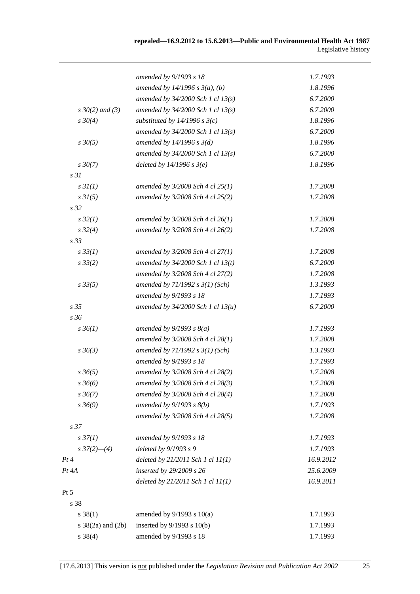|                           | amended by 9/1993 s 18                | 1.7.1993  |
|---------------------------|---------------------------------------|-----------|
|                           | amended by $14/1996 s 3(a)$ , (b)     | 1.8.1996  |
|                           | amended by $34/2000$ Sch 1 cl $13(s)$ | 6.7.2000  |
| $s \, 30(2)$ and (3)      | amended by $34/2000$ Sch 1 cl $13(s)$ | 6.7.2000  |
| $s \, 30(4)$              | substituted by $14/1996$ s $3(c)$     | 1.8.1996  |
|                           | amended by $34/2000$ Sch 1 cl $13(s)$ | 6.7.2000  |
| $s \, 30(5)$              | amended by $14/1996$ s $3(d)$         | 1.8.1996  |
|                           | amended by $34/2000$ Sch 1 cl $13(s)$ | 6.7.2000  |
| $s \, 30(7)$              | deleted by $14/1996 s 3(e)$           | 1.8.1996  |
| s <sub>31</sub>           |                                       |           |
| s3I(1)                    | amended by $3/2008$ Sch 4 cl $25(1)$  | 1.7.2008  |
| $s \, 31(5)$              | amended by 3/2008 Sch 4 cl 25(2)      | 1.7.2008  |
| s <sub>32</sub>           |                                       |           |
| $s\,32(1)$                | amended by $3/2008$ Sch 4 cl 26(1)    | 1.7.2008  |
| $s\,32(4)$                | amended by 3/2008 Sch 4 cl 26(2)      | 1.7.2008  |
| s <sub>33</sub>           |                                       |           |
| $s \, 33(1)$              | amended by $3/2008$ Sch 4 cl $27(1)$  | 1.7.2008  |
| $s \, 33(2)$              | amended by $34/2000$ Sch 1 cl $13(t)$ | 6.7.2000  |
|                           | amended by 3/2008 Sch 4 cl 27(2)      | 1.7.2008  |
| $s\,33(5)$                | amended by $71/1992 s 3(1)$ (Sch)     | 1.3.1993  |
|                           | amended by 9/1993 s 18                | 1.7.1993  |
| s 35                      | amended by $34/2000$ Sch 1 cl $13(u)$ | 6.7.2000  |
| s 36                      |                                       |           |
| $s \, 36(1)$              | amended by $9/1993 s 8(a)$            | 1.7.1993  |
|                           | amended by 3/2008 Sch 4 cl 28(1)      | 1.7.2008  |
| $s \, 36(3)$              | amended by $71/1992 s 3(1)$ (Sch)     | 1.3.1993  |
|                           | amended by 9/1993 s 18                | 1.7.1993  |
| $s \, 36(5)$              | amended by 3/2008 Sch 4 cl 28(2)      | 1.7.2008  |
| $s \, 36(6)$              | amended by $3/2008$ Sch 4 cl $28(3)$  | 1.7.2008  |
| $s \, 36(7)$              | amended by 3/2008 Sch 4 cl 28(4)      | 1.7.2008  |
| $s \frac{36(9)}{9}$       | amended by $9/1993$ s $8(b)$          | 1.7.1993  |
|                           | amended by 3/2008 Sch 4 cl 28(5)      | 1.7.2008  |
| s 37                      |                                       |           |
| $s \frac{37}{1}$          | amended by 9/1993 s 18                | 1.7.1993  |
| $s \frac{37(2) - (4)}{2}$ | deleted by 9/1993 s 9                 | 1.7.1993  |
| Pt4                       | deleted by $21/2011$ Sch 1 cl $11(1)$ | 16.9.2012 |
| Pt 4A                     | inserted by 29/2009 s 26              | 25.6.2009 |
|                           | deleted by $21/2011$ Sch 1 cl $11(1)$ | 16.9.2011 |
| Pt 5                      |                                       |           |
| s 38                      |                                       |           |
| $s \ 38(1)$               | amended by $9/1993$ s $10(a)$         | 1.7.1993  |
| s $38(2a)$ and $(2b)$     | inserted by 9/1993 s 10(b)            | 1.7.1993  |
| $s \ 38(4)$               | amended by 9/1993 s 18                | 1.7.1993  |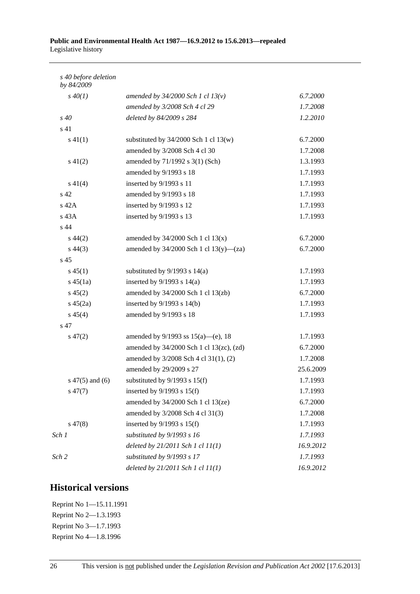#### **Public and Environmental Health Act 1987—16.9.2012 to 15.6.2013—repealed**  Legislative history

| s 40 before deletion<br>by 84/2009 |                                             |           |
|------------------------------------|---------------------------------------------|-----------|
| $s\,40(1)$                         | amended by $34/2000$ Sch 1 cl $13(v)$       | 6.7.2000  |
|                                    | amended by 3/2008 Sch 4 cl 29               | 1.7.2008  |
| s 40                               | deleted by 84/2009 s 284                    | 1.2.2010  |
| s <sub>41</sub>                    |                                             |           |
| $s\ 41(1)$                         | substituted by $34/2000$ Sch 1 cl 13(w)     | 6.7.2000  |
|                                    | amended by 3/2008 Sch 4 cl 30               | 1.7.2008  |
| $s\ 41(2)$                         | amended by 71/1992 s 3(1) (Sch)             | 1.3.1993  |
|                                    | amended by 9/1993 s 18                      | 1.7.1993  |
| $s\ 41(4)$                         | inserted by 9/1993 s 11                     | 1.7.1993  |
| s 42                               | amended by 9/1993 s 18                      | 1.7.1993  |
| $s$ 42A                            | inserted by 9/1993 s 12                     | 1.7.1993  |
| $s$ 43A                            | inserted by 9/1993 s 13                     | 1.7.1993  |
| s 44                               |                                             |           |
| $s\,44(2)$                         | amended by $34/2000$ Sch 1 cl $13(x)$       | 6.7.2000  |
| $s\,44(3)$                         | amended by $34/2000$ Sch 1 cl $13(y)$ —(za) | 6.7.2000  |
| s <sub>45</sub>                    |                                             |           |
| $s\,45(1)$                         | substituted by $9/1993$ s $14(a)$           | 1.7.1993  |
| $s\,45(1a)$                        | inserted by $9/1993$ s $14(a)$              | 1.7.1993  |
| $s\,45(2)$                         | amended by $34/2000$ Sch 1 cl $13$ (zb)     | 6.7.2000  |
| $s\,45(2a)$                        | inserted by $9/1993$ s $14(b)$              | 1.7.1993  |
| $s\,45(4)$                         | amended by 9/1993 s 18                      | 1.7.1993  |
| s 47                               |                                             |           |
| $s\,47(2)$                         | amended by $9/1993$ ss $15(a)$ —(e), 18     | 1.7.1993  |
|                                    | amended by 34/2000 Sch 1 cl 13(zc), (zd)    | 6.7.2000  |
|                                    | amended by 3/2008 Sch 4 cl 31(1), (2)       | 1.7.2008  |
|                                    | amended by 29/2009 s 27                     | 25.6.2009 |
| $s\ 47(5)$ and (6)                 | substituted by $9/1993$ s $15(f)$           | 1.7.1993  |
| $s\,47(7)$                         | inserted by $9/1993$ s $15(f)$              | 1.7.1993  |
|                                    | amended by 34/2000 Sch 1 cl 13(ze)          | 6.7.2000  |
|                                    | amended by 3/2008 Sch 4 cl 31(3)            | 1.7.2008  |
| $s\,47(8)$                         | inserted by $9/1993$ s $15(f)$              | 1.7.1993  |
| Sch 1                              | substituted by 9/1993 s 16                  | 1.7.1993  |
|                                    | deleted by $21/2011$ Sch 1 cl $11(1)$       | 16.9.2012 |
| Sch 2                              | substituted by 9/1993 s 17                  | 1.7.1993  |
|                                    | deleted by $21/2011$ Sch 1 cl $11(1)$       | 16.9.2012 |

## **Historical versions**

Reprint No 1—15.11.1991 Reprint No 2—1.3.1993 Reprint No 3—1.7.1993 Reprint No 4—1.8.1996